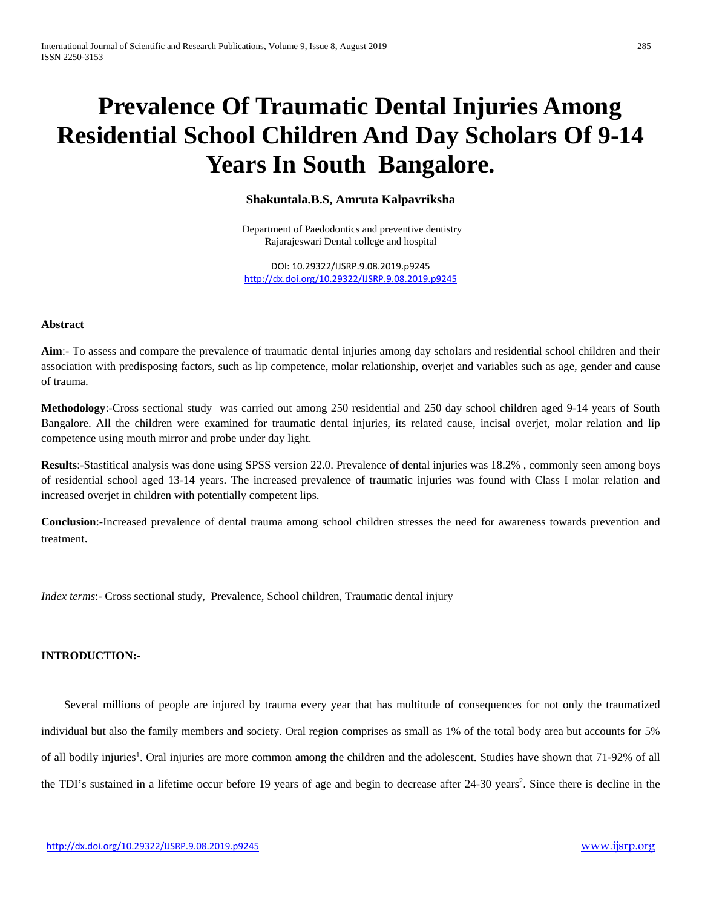# **Prevalence Of Traumatic Dental Injuries Among Residential School Children And Day Scholars Of 9-14 Years In South Bangalore.**

# **Shakuntala.B.S, Amruta Kalpavriksha**

Department of Paedodontics and preventive dentistry Rajarajeswari Dental college and hospital

DOI: 10.29322/IJSRP.9.08.2019.p9245 <http://dx.doi.org/10.29322/IJSRP.9.08.2019.p9245>

#### **Abstract**

**Aim**:- To assess and compare the prevalence of traumatic dental injuries among day scholars and residential school children and their association with predisposing factors, such as lip competence, molar relationship, overjet and variables such as age, gender and cause of trauma.

**Methodology**:-Cross sectional study was carried out among 250 residential and 250 day school children aged 9-14 years of South Bangalore. All the children were examined for traumatic dental injuries, its related cause, incisal overjet, molar relation and lip competence using mouth mirror and probe under day light.

**Results**:-Stastitical analysis was done using SPSS version 22.0. Prevalence of dental injuries was 18.2% , commonly seen among boys of residential school aged 13-14 years. The increased prevalence of traumatic injuries was found with Class I molar relation and increased overjet in children with potentially competent lips.

**Conclusion**:-Increased prevalence of dental trauma among school children stresses the need for awareness towards prevention and treatment.

*Index terms*:- Cross sectional study, Prevalence, School children, Traumatic dental injury

## **INTRODUCTION:-**

 Several millions of people are injured by trauma every year that has multitude of consequences for not only the traumatized individual but also the family members and society. Oral region comprises as small as 1% of the total body area but accounts for 5% of all bodily injuries<sup>1</sup>. Oral injuries are more common among the children and the adolescent. Studies have shown that 71-92% of all the TDI's sustained in a lifetime occur before 19 years of age and begin to decrease after 24-30 years<sup>2</sup>. Since there is decline in the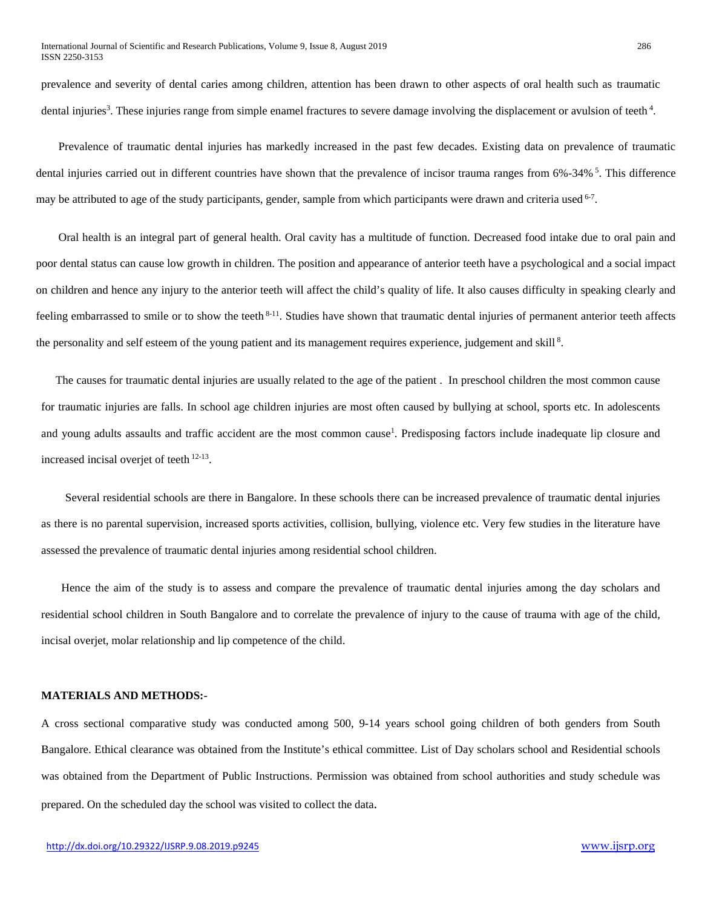prevalence and severity of dental caries among children, attention has been drawn to other aspects of oral health such as traumatic dental injuries<sup>3</sup>. These injuries range from simple enamel fractures to severe damage involving the displacement or avulsion of teeth<sup>4</sup>.

 Prevalence of traumatic dental injuries has markedly increased in the past few decades. Existing data on prevalence of traumatic dental injuries carried out in different countries have shown that the prevalence of incisor trauma ranges from 6%-34% <sup>5</sup>. This difference may be attributed to age of the study participants, gender, sample from which participants were drawn and criteria used  $6-7$ .

 Oral health is an integral part of general health. Oral cavity has a multitude of function. Decreased food intake due to oral pain and poor dental status can cause low growth in children. The position and appearance of anterior teeth have a psychological and a social impact on children and hence any injury to the anterior teeth will affect the child's quality of life. It also causes difficulty in speaking clearly and feeling embarrassed to smile or to show the teeth <sup>8-11</sup>. Studies have shown that traumatic dental injuries of permanent anterior teeth affects the personality and self esteem of the young patient and its management requires experience, judgement and skill<sup>8</sup>.

 The causes for traumatic dental injuries are usually related to the age of the patient . In preschool children the most common cause for traumatic injuries are falls. In school age children injuries are most often caused by bullying at school, sports etc. In adolescents and young adults assaults and traffic accident are the most common cause<sup>1</sup>. Predisposing factors include inadequate lip closure and increased incisal overjet of teeth 12-13.

 Several residential schools are there in Bangalore. In these schools there can be increased prevalence of traumatic dental injuries as there is no parental supervision, increased sports activities, collision, bullying, violence etc. Very few studies in the literature have assessed the prevalence of traumatic dental injuries among residential school children.

Hence the aim of the study is to assess and compare the prevalence of traumatic dental injuries among the day scholars and residential school children in South Bangalore and to correlate the prevalence of injury to the cause of trauma with age of the child, incisal overjet, molar relationship and lip competence of the child.

#### **MATERIALS AND METHODS:-**

A cross sectional comparative study was conducted among 500, 9-14 years school going children of both genders from South Bangalore. Ethical clearance was obtained from the Institute's ethical committee. List of Day scholars school and Residential schools was obtained from the Department of Public Instructions. Permission was obtained from school authorities and study schedule was prepared. On the scheduled day the school was visited to collect the data.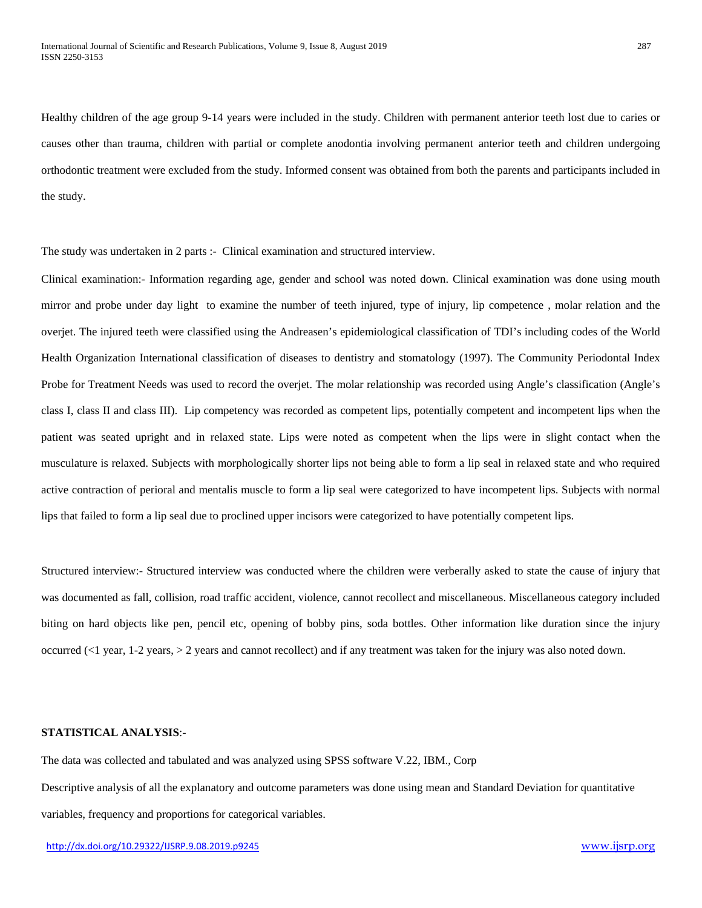Healthy children of the age group 9-14 years were included in the study. Children with permanent anterior teeth lost due to caries or causes other than trauma, children with partial or complete anodontia involving permanent anterior teeth and children undergoing orthodontic treatment were excluded from the study. Informed consent was obtained from both the parents and participants included in the study.

The study was undertaken in 2 parts :- Clinical examination and structured interview.

Clinical examination:- Information regarding age, gender and school was noted down. Clinical examination was done using mouth mirror and probe under day light to examine the number of teeth injured, type of injury, lip competence , molar relation and the overjet. The injured teeth were classified using the Andreasen's epidemiological classification of TDI's including codes of the World Health Organization International classification of diseases to dentistry and stomatology (1997). The Community Periodontal Index Probe for Treatment Needs was used to record the overjet. The molar relationship was recorded using Angle's classification (Angle's class I, class II and class III). Lip competency was recorded as competent lips, potentially competent and incompetent lips when the patient was seated upright and in relaxed state. Lips were noted as competent when the lips were in slight contact when the musculature is relaxed. Subjects with morphologically shorter lips not being able to form a lip seal in relaxed state and who required active contraction of perioral and mentalis muscle to form a lip seal were categorized to have incompetent lips. Subjects with normal lips that failed to form a lip seal due to proclined upper incisors were categorized to have potentially competent lips.

Structured interview:- Structured interview was conducted where the children were verberally asked to state the cause of injury that was documented as fall, collision, road traffic accident, violence, cannot recollect and miscellaneous. Miscellaneous category included biting on hard objects like pen, pencil etc, opening of bobby pins, soda bottles. Other information like duration since the injury occurred (<1 year, 1-2 years, > 2 years and cannot recollect) and if any treatment was taken for the injury was also noted down.

## **STATISTICAL ANALYSIS**:-

The data was collected and tabulated and was analyzed using SPSS software V.22, IBM., Corp Descriptive analysis of all the explanatory and outcome parameters was done using mean and Standard Deviation for quantitative variables, frequency and proportions for categorical variables.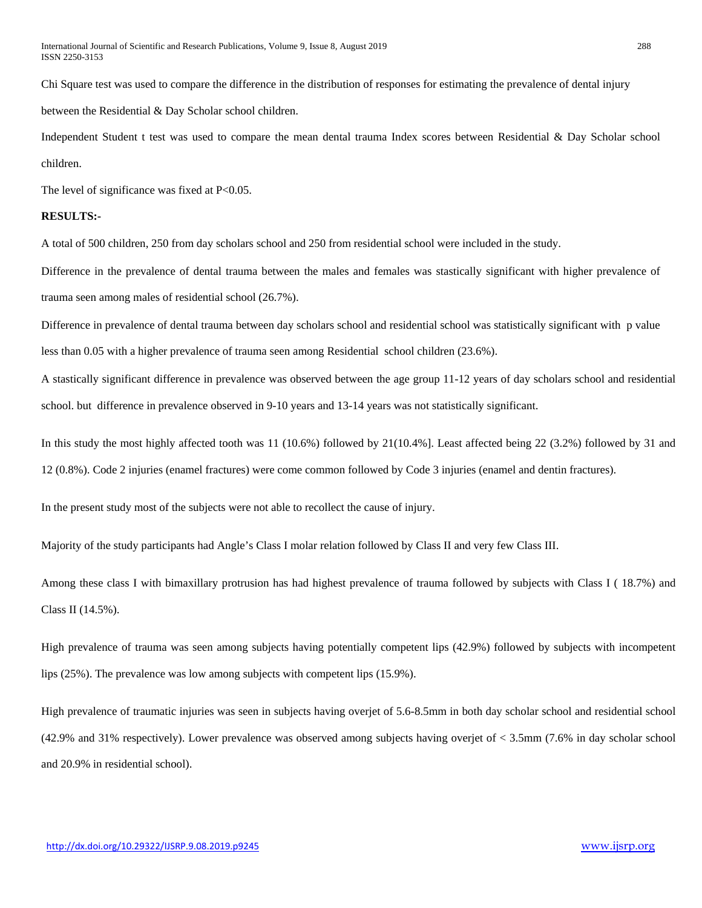Chi Square test was used to compare the difference in the distribution of responses for estimating the prevalence of dental injury between the Residential & Day Scholar school children.

Independent Student t test was used to compare the mean dental trauma Index scores between Residential & Day Scholar school children.

The level of significance was fixed at P<0.05.

## **RESULTS:-**

A total of 500 children, 250 from day scholars school and 250 from residential school were included in the study.

Difference in the prevalence of dental trauma between the males and females was stastically significant with higher prevalence of trauma seen among males of residential school (26.7%).

Difference in prevalence of dental trauma between day scholars school and residential school was statistically significant with p value less than 0.05 with a higher prevalence of trauma seen among Residential school children (23.6%).

A stastically significant difference in prevalence was observed between the age group 11-12 years of day scholars school and residential school. but difference in prevalence observed in 9-10 years and 13-14 years was not statistically significant.

In this study the most highly affected tooth was 11 (10.6%) followed by 21(10.4%]. Least affected being 22 (3.2%) followed by 31 and 12 (0.8%). Code 2 injuries (enamel fractures) were come common followed by Code 3 injuries (enamel and dentin fractures).

In the present study most of the subjects were not able to recollect the cause of injury.

Majority of the study participants had Angle's Class I molar relation followed by Class II and very few Class III.

Among these class I with bimaxillary protrusion has had highest prevalence of trauma followed by subjects with Class I ( 18.7%) and Class II (14.5%).

High prevalence of trauma was seen among subjects having potentially competent lips (42.9%) followed by subjects with incompetent lips (25%). The prevalence was low among subjects with competent lips (15.9%).

High prevalence of traumatic injuries was seen in subjects having overjet of 5.6-8.5mm in both day scholar school and residential school (42.9% and 31% respectively). Lower prevalence was observed among subjects having overjet of < 3.5mm (7.6% in day scholar school and 20.9% in residential school).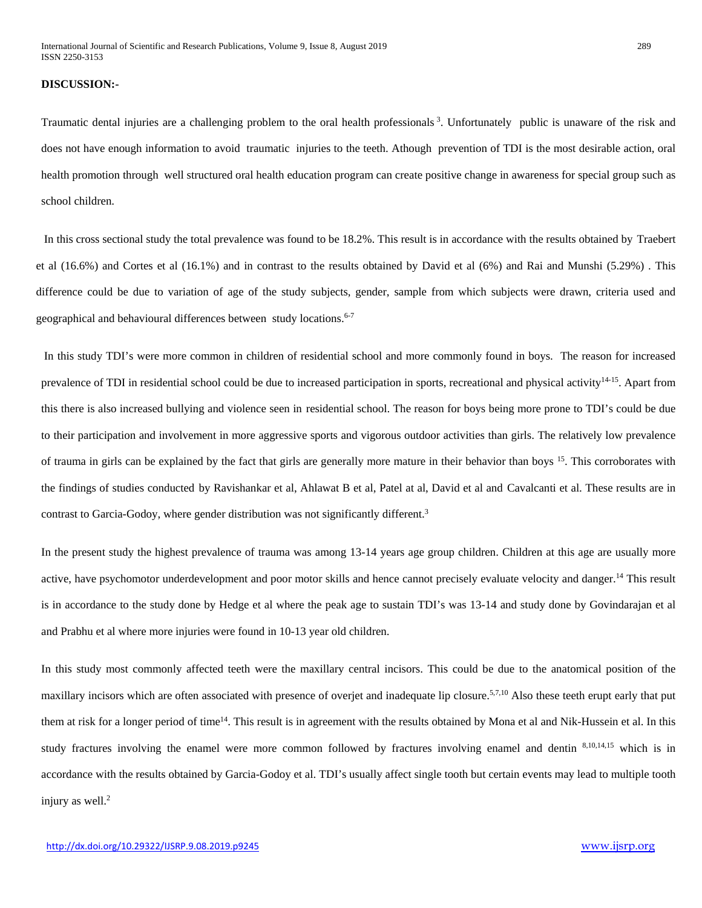#### **DISCUSSION:-**

Traumatic dental injuries are a challenging problem to the oral health professionals<sup>3</sup>. Unfortunately public is unaware of the risk and does not have enough information to avoid traumatic injuries to the teeth. Athough prevention of TDI is the most desirable action, oral health promotion through well structured oral health education program can create positive change in awareness for special group such as school children.

In this cross sectional study the total prevalence was found to be 18.2%. This result is in accordance with the results obtained by Traebert et al (16.6%) and Cortes et al (16.1%) and in contrast to the results obtained by David et al (6%) and Rai and Munshi (5.29%) . This difference could be due to variation of age of the study subjects, gender, sample from which subjects were drawn, criteria used and geographical and behavioural differences between study locations. 6-7

In this study TDI's were more common in children of residential school and more commonly found in boys. The reason for increased prevalence of TDI in residential school could be due to increased participation in sports, recreational and physical activity<sup>14-15</sup>. Apart from this there is also increased bullying and violence seen in residential school. The reason for boys being more prone to TDI's could be due to their participation and involvement in more aggressive sports and vigorous outdoor activities than girls. The relatively low prevalence of trauma in girls can be explained by the fact that girls are generally more mature in their behavior than boys <sup>15</sup>. This corroborates with the findings of studies conducted by Ravishankar et al, Ahlawat B et al, Patel at al, David et al and Cavalcanti et al. These results are in contrast to Garcia-Godoy, where gender distribution was not significantly different.<sup>3</sup>

In the present study the highest prevalence of trauma was among 13-14 years age group children. Children at this age are usually more active, have psychomotor underdevelopment and poor motor skills and hence cannot precisely evaluate velocity and danger.<sup>14</sup> This result is in accordance to the study done by Hedge et al where the peak age to sustain TDI's was 13-14 and study done by Govindarajan et al and Prabhu et al where more injuries were found in 10-13 year old children.

In this study most commonly affected teeth were the maxillary central incisors. This could be due to the anatomical position of the maxillary incisors which are often associated with presence of overjet and inadequate lip closure.<sup>5,7,10</sup> Also these teeth erupt early that put them at risk for a longer period of time14. This result is in agreement with the results obtained by Mona et al and Nik-Hussein et al. In this study fractures involving the enamel were more common followed by fractures involving enamel and dentin 8,10,14,15 which is in accordance with the results obtained by Garcia-Godoy et al. TDI's usually affect single tooth but certain events may lead to multiple tooth injury as well. $2$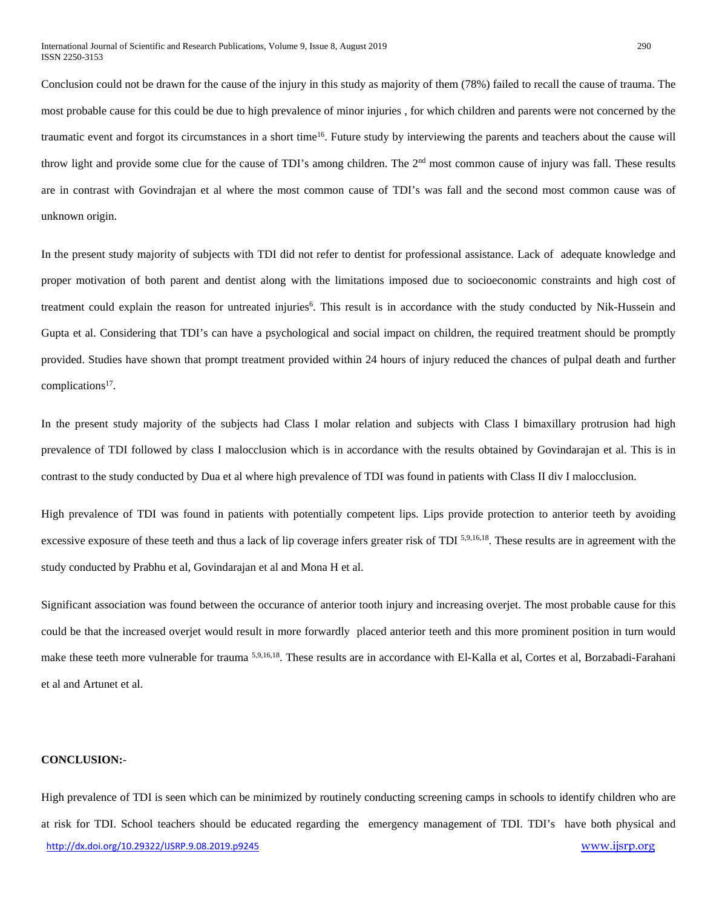Conclusion could not be drawn for the cause of the injury in this study as majority of them (78%) failed to recall the cause of trauma. The most probable cause for this could be due to high prevalence of minor injuries , for which children and parents were not concerned by the traumatic event and forgot its circumstances in a short time16. Future study by interviewing the parents and teachers about the cause will throw light and provide some clue for the cause of TDI's among children. The 2<sup>nd</sup> most common cause of injury was fall. These results are in contrast with Govindrajan et al where the most common cause of TDI's was fall and the second most common cause was of unknown origin.

In the present study majority of subjects with TDI did not refer to dentist for professional assistance. Lack of adequate knowledge and proper motivation of both parent and dentist along with the limitations imposed due to socioeconomic constraints and high cost of treatment could explain the reason for untreated injuries<sup>6</sup>. This result is in accordance with the study conducted by Nik-Hussein and Gupta et al. Considering that TDI's can have a psychological and social impact on children, the required treatment should be promptly provided. Studies have shown that prompt treatment provided within 24 hours of injury reduced the chances of pulpal death and further complications<sup>17</sup>.

In the present study majority of the subjects had Class I molar relation and subjects with Class I bimaxillary protrusion had high prevalence of TDI followed by class I malocclusion which is in accordance with the results obtained by Govindarajan et al. This is in contrast to the study conducted by Dua et al where high prevalence of TDI was found in patients with Class II div I malocclusion.

High prevalence of TDI was found in patients with potentially competent lips. Lips provide protection to anterior teeth by avoiding excessive exposure of these teeth and thus a lack of lip coverage infers greater risk of TDI <sup>5,9,16,18</sup>. These results are in agreement with the study conducted by Prabhu et al, Govindarajan et al and Mona H et al.

Significant association was found between the occurance of anterior tooth injury and increasing overjet. The most probable cause for this could be that the increased overjet would result in more forwardly placed anterior teeth and this more prominent position in turn would make these teeth more vulnerable for trauma <sup>5,9,16,18</sup>. These results are in accordance with El-Kalla et al, Cortes et al, Borzabadi-Farahani et al and Artunet et al.

#### **CONCLUSION:**-

<http://dx.doi.org/10.29322/IJSRP.9.08.2019.p9245> [www.ijsrp.org](http://ijsrp.org/) High prevalence of TDI is seen which can be minimized by routinely conducting screening camps in schools to identify children who are at risk for TDI. School teachers should be educated regarding the emergency management of TDI. TDI's have both physical and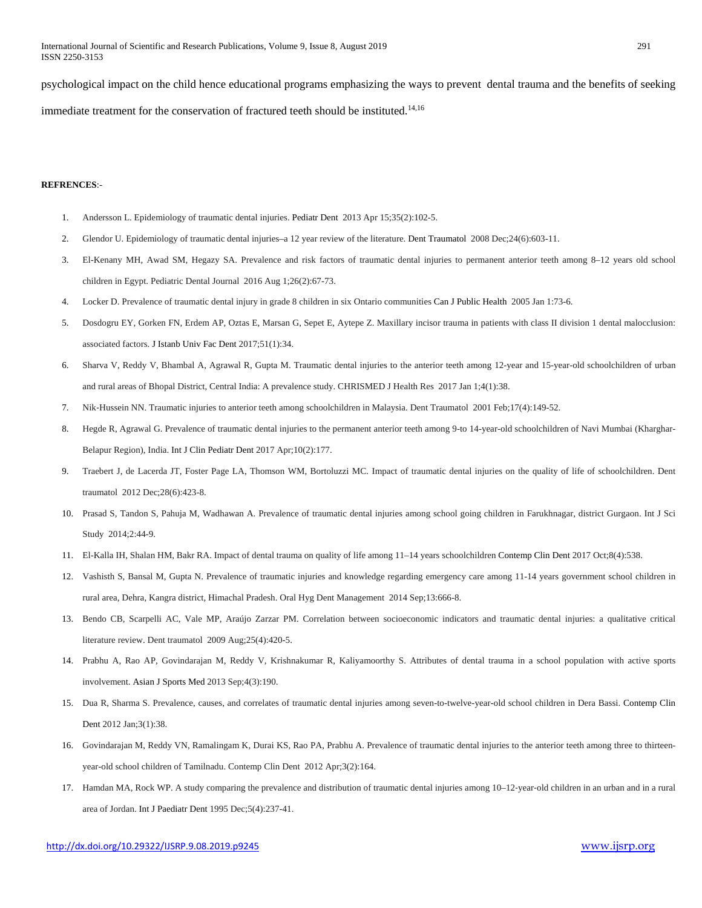International Journal of Scientific and Research Publications, Volume 9, Issue 8, August 2019 291 ISSN 2250-3153

psychological impact on the child hence educational programs emphasizing the ways to prevent dental trauma and the benefits of seeking immediate treatment for the conservation of fractured teeth should be instituted.<sup>14,16</sup>

#### **REFRENCES**:-

- 1. Andersson L. Epidemiology of traumatic dental injuries. Pediatr Dent 2013 Apr 15;35(2):102-5.
- 2. Glendor U. Epidemiology of traumatic dental injuries–a 12 year review of the literature. Dent Traumatol 2008 Dec;24(6):603-11.
- 3. El-Kenany MH, Awad SM, Hegazy SA. Prevalence and risk factors of traumatic dental injuries to permanent anterior teeth among 8–12 years old school children in Egypt. Pediatric Dental Journal 2016 Aug 1;26(2):67-73.
- 4. Locker D. Prevalence of traumatic dental injury in grade 8 children in six Ontario communities Can J Public Health 2005 Jan 1:73-6.
- 5. Dosdogru EY, Gorken FN, Erdem AP, Oztas E, Marsan G, Sepet E, Aytepe Z. Maxillary incisor trauma in patients with class II division 1 dental malocclusion: associated factors. J Istanb Univ Fac Dent 2017;51(1):34.
- 6. Sharva V, Reddy V, Bhambal A, Agrawal R, Gupta M. Traumatic dental injuries to the anterior teeth among 12-year and 15-year-old schoolchildren of urban and rural areas of Bhopal District, Central India: A prevalence study. CHRISMED J Health Res 2017 Jan 1;4(1):38.
- 7. Nik‐Hussein NN. Traumatic injuries to anterior teeth among schoolchildren in Malaysia. Dent Traumatol 2001 Feb;17(4):149-52.
- 8. Hegde R, Agrawal G. Prevalence of traumatic dental injuries to the permanent anterior teeth among 9-to 14-year-old schoolchildren of Navi Mumbai (Kharghar-Belapur Region), India. Int J Clin Pediatr Dent 2017 Apr;10(2):177.
- 9. Traebert J, de Lacerda JT, Foster Page LA, Thomson WM, Bortoluzzi MC. Impact of traumatic dental injuries on the quality of life of schoolchildren. Dent traumatol 2012 Dec;28(6):423-8.
- 10. Prasad S, Tandon S, Pahuja M, Wadhawan A. Prevalence of traumatic dental injuries among school going children in Farukhnagar, district Gurgaon. Int J Sci Study 2014;2:44-9.
- 11. El-Kalla IH, Shalan HM, Bakr RA. Impact of dental trauma on quality of life among 11–14 years schoolchildren Contemp Clin Dent 2017 Oct;8(4):538.
- 12. Vashisth S, Bansal M, Gupta N. Prevalence of traumatic injuries and knowledge regarding emergency care among 11-14 years government school children in rural area, Dehra, Kangra district, Himachal Pradesh. Oral Hyg Dent Management 2014 Sep;13:666-8.
- 13. Bendo CB, Scarpelli AC, Vale MP, Araújo Zarzar PM. Correlation between socioeconomic indicators and traumatic dental injuries: a qualitative critical literature review. Dent traumatol 2009 Aug;25(4):420-5.
- 14. Prabhu A, Rao AP, Govindarajan M, Reddy V, Krishnakumar R, Kaliyamoorthy S. Attributes of dental trauma in a school population with active sports involvement. Asian J Sports Med 2013 Sep;4(3):190.
- 15. Dua R, Sharma S. Prevalence, causes, and correlates of traumatic dental injuries among seven-to-twelve-year-old school children in Dera Bassi. Contemp Clin Dent 2012 Jan;3(1):38.
- 16. Govindarajan M, Reddy VN, Ramalingam K, Durai KS, Rao PA, Prabhu A. Prevalence of traumatic dental injuries to the anterior teeth among three to thirteenyear-old school children of Tamilnadu. Contemp Clin Dent 2012 Apr;3(2):164.
- 17. Hamdan MA, Rock WP. A study comparing the prevalence and distribution of traumatic dental injuries among 10–12‐year‐old children in an urban and in a rural area of Jordan. Int J Paediatr Dent 1995 Dec;5(4):237-41.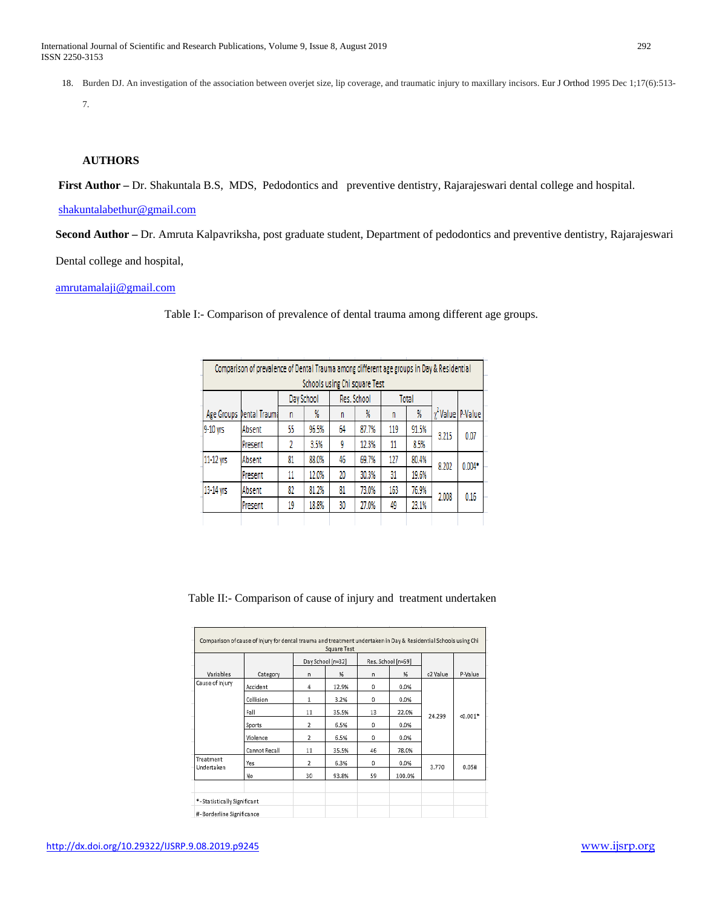International Journal of Scientific and Research Publications, Volume 9, Issue 8, August 2019 292 ISSN 2250-3153

18. Burden DJ. An investigation of the association between overjet size, lip coverage, and traumatic injury to maxillary incisors. Eur J Orthod 1995 Dec 1;17(6):513-

7.

# **AUTHORS**

 **First Author –** Dr. Shakuntala B.S, MDS, Pedodontics and preventive dentistry, Rajarajeswari dental college and hospital.

# [shakuntalabethur@gmail.com](mailto:shakuntalabethur@gmail.com)

 **Second Author –** Dr. Amruta Kalpavriksha, post graduate student, Department of pedodontics and preventive dentistry, Rajarajeswari

Dental college and hospital,

## [amrutamalaji@gmail.com](mailto:amrutamalaji@gmail.com)

|           | Comparison of prevalence of Dental Trauma among different age groups in Day & Residential |            |       |             |       |       |       |                          |          |  |  |  |  |  |
|-----------|-------------------------------------------------------------------------------------------|------------|-------|-------------|-------|-------|-------|--------------------------|----------|--|--|--|--|--|
|           | Schools using Chi square Test                                                             |            |       |             |       |       |       |                          |          |  |  |  |  |  |
|           |                                                                                           | Day School |       | Res. School |       | Total |       |                          |          |  |  |  |  |  |
|           | Age Groups Dental Trauma                                                                  | n          | %     | n           | %     | n     | %     | $\chi^2$ Value   P-Value |          |  |  |  |  |  |
| 9-10 yrs  | Absent                                                                                    | 55         | 96.5% | 64          | 87.7% | 119   | 91.5% | 3.215                    | 0.07     |  |  |  |  |  |
|           | Present                                                                                   | 2          | 3.5%  | 9           | 12.3% | 11    | 8.5%  |                          |          |  |  |  |  |  |
| 11-12 yrs | Absent                                                                                    | 81         | 88.0% | 46          | 69.7% | 127   | 80.4% | 8.202                    | $0.004*$ |  |  |  |  |  |
|           | Present                                                                                   | 11         | 12.0% | 20          | 30.3% | 31    | 19.6% |                          |          |  |  |  |  |  |
| 13-14 yrs | Absent                                                                                    | 82         | 81.2% | 81          | 73.0% | 163   | 76.9% | 2.008                    | 0.16     |  |  |  |  |  |
|           | Present                                                                                   | 19         | 18.8% | 30          | 27.0% | 49    | 23.1% |                          |          |  |  |  |  |  |
|           |                                                                                           |            |       |             |       |       |       |                          |          |  |  |  |  |  |

Table II:- Comparison of cause of injury and treatment undertaken

|                         |               | Day School [n=32] |       |    | Res. School [n=59] |          |             |
|-------------------------|---------------|-------------------|-------|----|--------------------|----------|-------------|
| Variables               | Category      | n                 | 96    | n  | 96                 | c2 Value | P-Value     |
| Cause of Injury         | Accident      | 4                 | 12.9% | 0  | 0.0%               |          | $< 0.001$ * |
|                         | Collision     | 1                 | 3.2%  | 0  | 0.0%               |          |             |
|                         | Fall          | 11                | 35.5% | 13 | 22.0%              | 24.299   |             |
|                         | Sports        | 2                 | 6.5%  | 0  | 0.0%               |          |             |
|                         | Violence      | 2                 | 6.5%  | 0  | 0.0%               |          |             |
|                         | Cannot Recall | 11                | 35.5% | 46 | 78.0%              |          |             |
| Treatment<br>Undertaken | Yes           | 2                 | 6.3%  | 0  | 0.0%               | 3,770    | 0.05#       |
|                         | No            | 30                | 93.8% | 59 | 100.0%             |          |             |